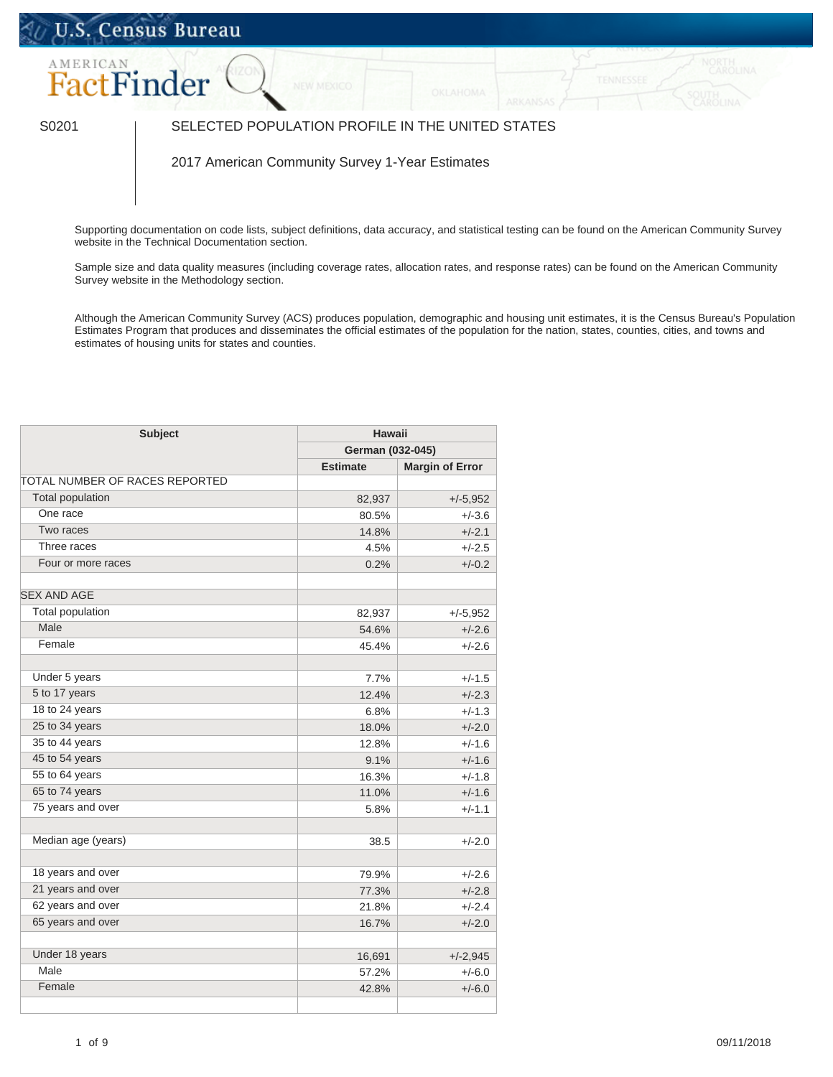## U.S. Census Bureau



## S0201 SELECTED POPULATION PROFILE IN THE UNITED STATES

2017 American Community Survey 1-Year Estimates

Supporting documentation on code lists, subject definitions, data accuracy, and statistical testing can be found on the American Community Survey website in the [Technical Documentation](https://www.census.gov/programs-surveys/acs/technical-documentation/code-lists.html) section.

Sample size and data quality measures (including coverage rates, allocation rates, and response rates) can be found on the American Community Survey website in the [Methodology](https://www.census.gov/acs/www/methodology/sample_size_and_data_quality/) section.

Although the American Community Survey (ACS) produces population, demographic and housing unit estimates, it is the Census Bureau's Population Estimates Program that produces and disseminates the official estimates of the population for the nation, states, counties, cities, and towns and estimates of housing units for states and counties.

| <b>Subject</b>                 |                 | <b>Hawaii</b>          |  |
|--------------------------------|-----------------|------------------------|--|
|                                |                 | German (032-045)       |  |
|                                | <b>Estimate</b> | <b>Margin of Error</b> |  |
| TOTAL NUMBER OF RACES REPORTED |                 |                        |  |
| Total population               | 82,937          | $+/-5,952$             |  |
| One race                       | 80.5%           | $+/-3.6$               |  |
| Two races                      | 14.8%           | $+/-2.1$               |  |
| Three races                    | 4.5%            | $+/-2.5$               |  |
| Four or more races             | 0.2%            | $+/-0.2$               |  |
| <b>SEX AND AGE</b>             |                 |                        |  |
| <b>Total population</b>        | 82,937          | $+/-5,952$             |  |
| Male                           | 54.6%           | $+/-2.6$               |  |
| Female                         | 45.4%           | $+/-2.6$               |  |
|                                |                 |                        |  |
| Under 5 years                  | 7.7%            | $+/-1.5$               |  |
| 5 to 17 years                  | 12.4%           | $+/-2.3$               |  |
| 18 to 24 years                 | 6.8%            | $+/-1.3$               |  |
| 25 to 34 years                 | 18.0%           | $+/-2.0$               |  |
| 35 to 44 years                 | 12.8%           | $+/-1.6$               |  |
| 45 to 54 years                 | 9.1%            | $+/-1.6$               |  |
| 55 to 64 years                 | 16.3%           | $+/-1.8$               |  |
| 65 to 74 years                 | 11.0%           | $+/-1.6$               |  |
| 75 years and over              | 5.8%            | $+/-1.1$               |  |
|                                |                 |                        |  |
| Median age (years)             | 38.5            | $+/-2.0$               |  |
|                                |                 |                        |  |
| 18 years and over              | 79.9%           | $+/-2.6$               |  |
| 21 years and over              | 77.3%           | $+/-2.8$               |  |
| 62 years and over              | 21.8%           | $+/-2.4$               |  |
| 65 years and over              | 16.7%           | $+/-2.0$               |  |
|                                |                 |                        |  |
| Under 18 years                 | 16,691          | $+/-2,945$             |  |
| Male                           | 57.2%           | $+/-6.0$               |  |
| Female                         | 42.8%           | $+/-6.0$               |  |
|                                |                 |                        |  |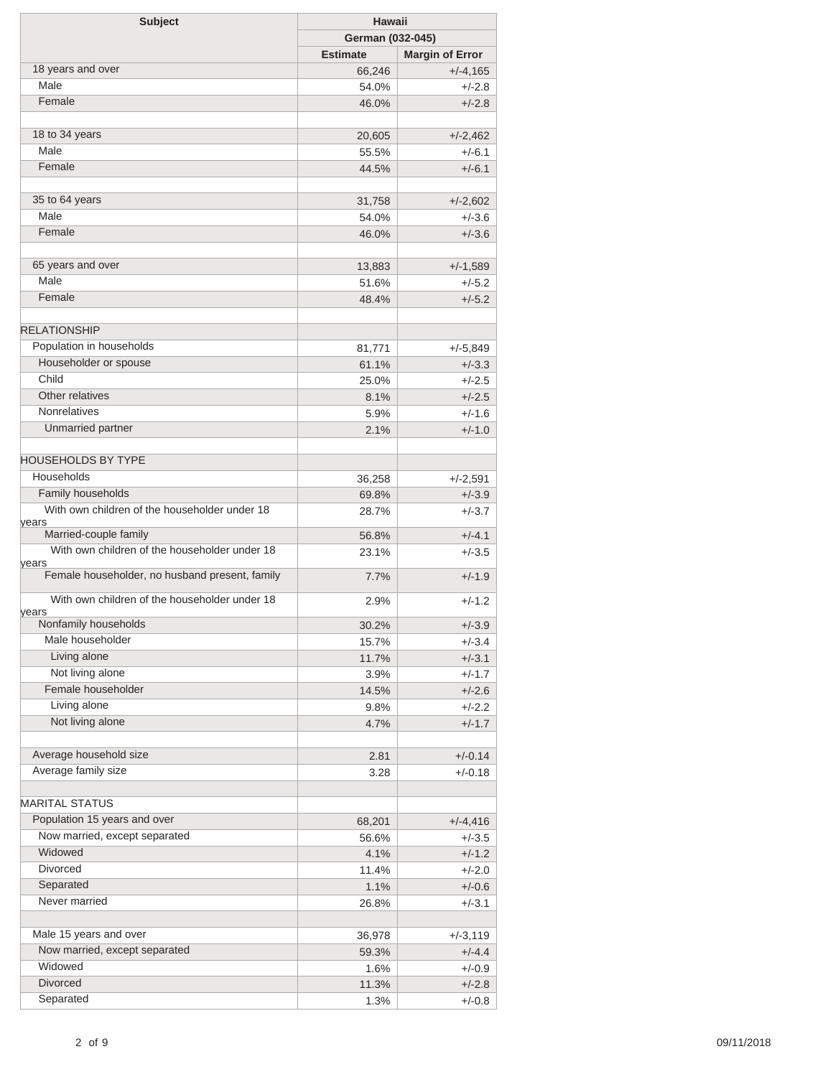| <b>Subject</b>                                          | <b>Hawaii</b>    |                        |
|---------------------------------------------------------|------------------|------------------------|
|                                                         | German (032-045) |                        |
|                                                         | <b>Estimate</b>  | <b>Margin of Error</b> |
| 18 years and over                                       | 66,246           | $+/-4,165$             |
| Male                                                    | 54.0%            | $+/-2.8$               |
| Female                                                  | 46.0%            | $+/-2.8$               |
| 18 to 34 years                                          | 20,605           | $+/-2,462$             |
| Male                                                    | 55.5%            | $+/-6.1$               |
| Female                                                  | 44.5%            | $+/-6.1$               |
| 35 to 64 years                                          |                  |                        |
| Male                                                    | 31,758           | $+/-2,602$             |
| Female                                                  | 54.0%            | $+/-3.6$               |
|                                                         | 46.0%            | $+/-3.6$               |
| 65 years and over                                       | 13,883           | $+/-1,589$             |
| Male                                                    | 51.6%            | $+/-5.2$               |
| Female                                                  | 48.4%            | $+/-5.2$               |
| <b>RELATIONSHIP</b>                                     |                  |                        |
| Population in households                                | 81,771           | $+/-5,849$             |
| Householder or spouse                                   | 61.1%            | $+/-3.3$               |
| Child                                                   | 25.0%            | $+/-2.5$               |
| Other relatives                                         | 8.1%             | $+/-2.5$               |
| <b>Nonrelatives</b>                                     | 5.9%             | $+/-1.6$               |
| Unmarried partner                                       | 2.1%             | $+/-1.0$               |
|                                                         |                  |                        |
| <b>HOUSEHOLDS BY TYPE</b>                               |                  |                        |
| Households                                              | 36,258           | $+/-2,591$             |
| Family households                                       | 69.8%            | $+/-3.9$               |
| With own children of the householder under 18<br>vears  | 28.7%            | $+/-3.7$               |
| Married-couple family                                   | 56.8%            | $+/-4.1$               |
| With own children of the householder under 18           | 23.1%            | $+/-3.5$               |
| years<br>Female householder, no husband present, family | $7.7\%$          | $+/-1.9$               |
| With own children of the householder under 18           |                  |                        |
| years                                                   | 2.9%             | $+/-1.2$               |
| Nonfamily households                                    | 30.2%            | $+/-3.9$               |
| Male householder                                        | 15.7%            | $+/-3.4$               |
| Living alone                                            | 11.7%            | $+/-3.1$               |
| Not living alone                                        | $3.9\%$          | $+/-1.7$               |
| Female householder                                      | 14.5%            | $+/-2.6$               |
| Living alone                                            | $9.8\%$          | $+/-2.2$               |
| Not living alone                                        | 4.7%             | $+/-1.7$               |
| Average household size                                  | 2.81             | $+/-0.14$              |
| Average family size                                     | 3.28             | $+/-0.18$              |
| <b>MARITAL STATUS</b>                                   |                  |                        |
| Population 15 years and over                            |                  |                        |
|                                                         | 68,201           | $+/-4,416$             |
| Now married, except separated<br>Widowed                | 56.6%            | $+/-3.5$               |
|                                                         | 4.1%             | $+/-1.2$               |
| <b>Divorced</b>                                         | 11.4%            | $+/-2.0$               |
| Separated                                               | 1.1%             | $+/-0.6$               |
| Never married                                           | 26.8%            | $+/-3.1$               |
| Male 15 years and over                                  | 36,978           | +/-3,119               |
| Now married, except separated                           | 59.3%            | $+/-4.4$               |
| Widowed                                                 | 1.6%             | $+/-0.9$               |
| <b>Divorced</b>                                         | 11.3%            | $+/-2.8$               |
| Separated                                               | 1.3%             | $+/-0.8$               |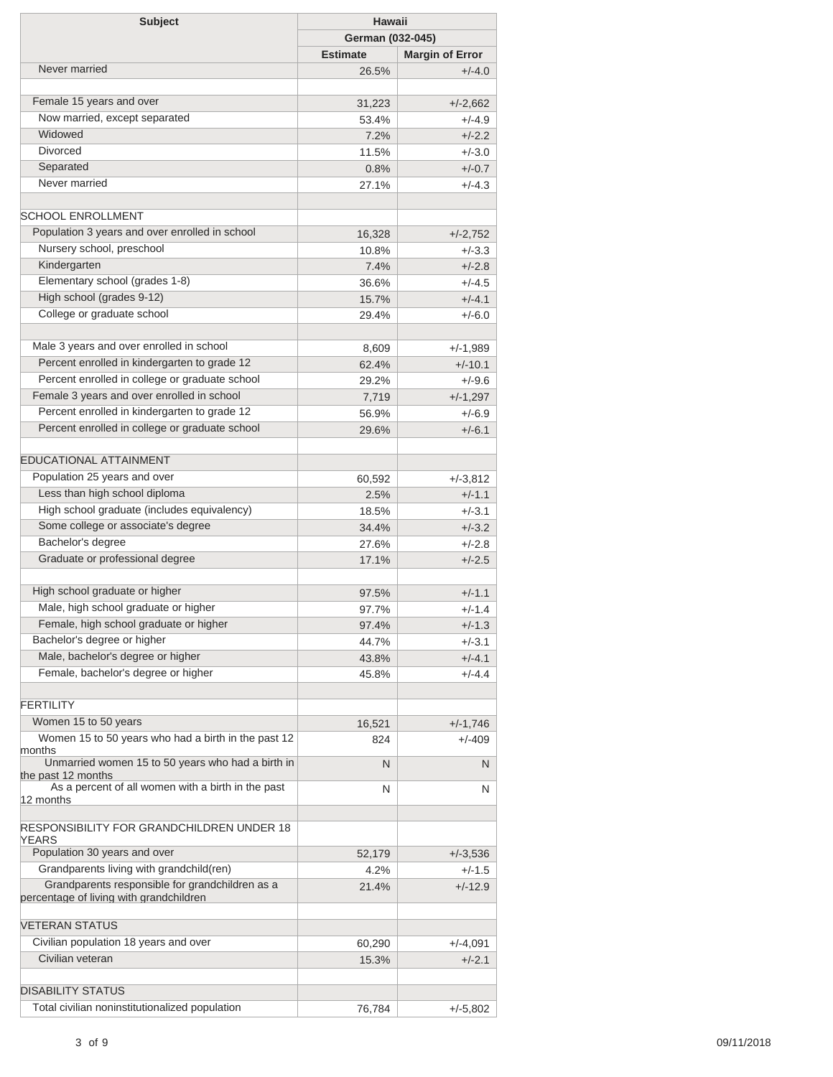| <b>Subject</b>                                                                             | <b>Hawaii</b>   |                        |  |
|--------------------------------------------------------------------------------------------|-----------------|------------------------|--|
|                                                                                            |                 | German (032-045)       |  |
|                                                                                            | <b>Estimate</b> | <b>Margin of Error</b> |  |
| Never married                                                                              | 26.5%           | $+/-4.0$               |  |
|                                                                                            |                 |                        |  |
| Female 15 years and over                                                                   | 31,223          | $+/-2,662$             |  |
| Now married, except separated                                                              | 53.4%           | $+/-4.9$               |  |
| Widowed                                                                                    | 7.2%            | $+/-2.2$               |  |
| <b>Divorced</b>                                                                            | 11.5%           | $+/-3.0$               |  |
| Separated                                                                                  | 0.8%            | $+/-0.7$               |  |
| Never married                                                                              | 27.1%           | $+/-4.3$               |  |
|                                                                                            |                 |                        |  |
| <b>SCHOOL ENROLLMENT</b>                                                                   |                 |                        |  |
| Population 3 years and over enrolled in school                                             | 16,328          | $+/-2,752$             |  |
| Nursery school, preschool                                                                  | 10.8%           | $+/-3.3$               |  |
| Kindergarten                                                                               | 7.4%            | $+/-2.8$               |  |
| Elementary school (grades 1-8)                                                             | 36.6%           | $+/-4.5$               |  |
| High school (grades 9-12)                                                                  | 15.7%           | $+/-4.1$               |  |
| College or graduate school                                                                 | 29.4%           | $+/-6.0$               |  |
|                                                                                            |                 |                        |  |
| Male 3 years and over enrolled in school                                                   | 8,609           | $+/-1,989$             |  |
| Percent enrolled in kindergarten to grade 12                                               | 62.4%           | $+/-10.1$              |  |
| Percent enrolled in college or graduate school                                             | 29.2%           | $+/-9.6$               |  |
| Female 3 years and over enrolled in school                                                 | 7,719           | $+/-1,297$             |  |
| Percent enrolled in kindergarten to grade 12                                               | 56.9%           | $+/-6.9$               |  |
| Percent enrolled in college or graduate school                                             | 29.6%           | $+/-6.1$               |  |
|                                                                                            |                 |                        |  |
| <b>EDUCATIONAL ATTAINMENT</b>                                                              |                 |                        |  |
| Population 25 years and over                                                               | 60,592          | +/-3,812               |  |
| Less than high school diploma                                                              | 2.5%            | $+/-1.1$               |  |
| High school graduate (includes equivalency)                                                | 18.5%           | $+/-3.1$               |  |
| Some college or associate's degree                                                         | 34.4%           | $+/-3.2$               |  |
| Bachelor's degree                                                                          | 27.6%           | $+/-2.8$               |  |
| Graduate or professional degree                                                            | 17.1%           | $+/-2.5$               |  |
|                                                                                            |                 |                        |  |
| High school graduate or higher                                                             | 97.5%           | $+/-1.1$               |  |
| Male, high school graduate or higher                                                       | 97.7%           | $+/-1.4$               |  |
| Female, high school graduate or higher                                                     | 97.4%           | $+/-1.3$               |  |
| Bachelor's degree or higher                                                                |                 |                        |  |
| Male, bachelor's degree or higher                                                          | 44.7%           | $+/-3.1$               |  |
| Female, bachelor's degree or higher                                                        | 43.8%           | $+/-4.1$               |  |
|                                                                                            | 45.8%           | $+/-4.4$               |  |
| <b>FERTILITY</b>                                                                           |                 |                        |  |
| Women 15 to 50 years                                                                       |                 |                        |  |
| Women 15 to 50 years who had a birth in the past 12                                        | 16,521          | $+/-1,746$             |  |
| months                                                                                     | 824             | $+/-409$               |  |
| Unmarried women 15 to 50 years who had a birth in                                          | N               | N                      |  |
| the past 12 months<br>As a percent of all women with a birth in the past                   |                 |                        |  |
| 12 months                                                                                  | N               | N                      |  |
|                                                                                            |                 |                        |  |
| <b>RESPONSIBILITY FOR GRANDCHILDREN UNDER 18</b>                                           |                 |                        |  |
| <b>YEARS</b>                                                                               |                 |                        |  |
| Population 30 years and over                                                               | 52,179          | $+/-3,536$             |  |
| Grandparents living with grandchild(ren)                                                   | 4.2%            | $+/-1.5$               |  |
| Grandparents responsible for grandchildren as a<br>percentage of living with grandchildren | 21.4%           | $+/-12.9$              |  |
|                                                                                            |                 |                        |  |
| VETERAN STATUS                                                                             |                 |                        |  |
| Civilian population 18 years and over                                                      | 60,290          | +/-4,091               |  |
| Civilian veteran                                                                           | 15.3%           | $+/-2.1$               |  |
|                                                                                            |                 |                        |  |
| <b>DISABILITY STATUS</b>                                                                   |                 |                        |  |
| Total civilian noninstitutionalized population                                             | 76,784          | +/-5,802               |  |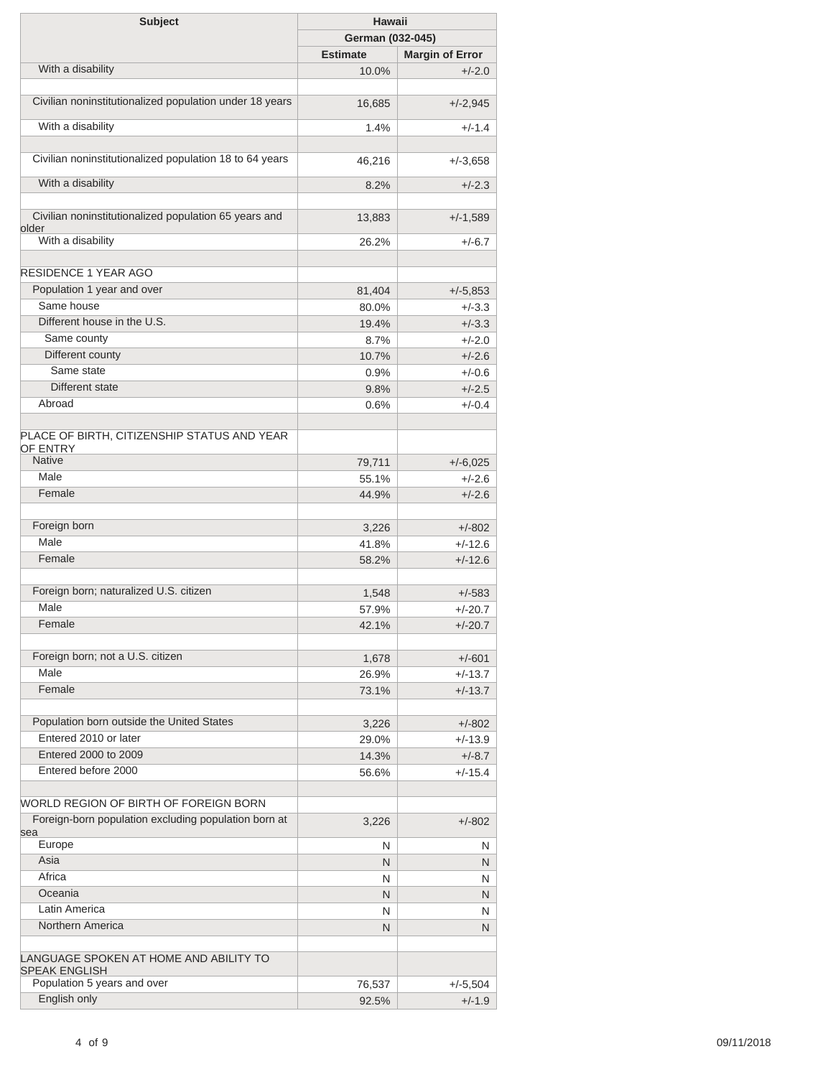| <b>Subject</b>                                                 | Hawaii           |                        |
|----------------------------------------------------------------|------------------|------------------------|
|                                                                | German (032-045) |                        |
|                                                                | <b>Estimate</b>  | <b>Margin of Error</b> |
| With a disability                                              | 10.0%            | $+/-2.0$               |
|                                                                |                  |                        |
| Civilian noninstitutionalized population under 18 years        | 16,685           | $+/-2,945$             |
| With a disability                                              | 1.4%             | $+/-1.4$               |
| Civilian noninstitutionalized population 18 to 64 years        | 46,216           | $+/-3,658$             |
| With a disability                                              | 8.2%             | $+/-2.3$               |
| Civilian noninstitutionalized population 65 years and          | 13,883           | $+/-1,589$             |
| older<br>With a disability                                     | 26.2%            | $+/-6.7$               |
| <b>RESIDENCE 1 YEAR AGO</b>                                    |                  |                        |
| Population 1 year and over                                     |                  |                        |
|                                                                | 81,404           | $+/-5,853$             |
| Same house                                                     | 80.0%            | $+/-3.3$               |
| Different house in the U.S.                                    | 19.4%            | $+/-3.3$               |
| Same county                                                    | 8.7%             | $+/-2.0$               |
| Different county                                               | 10.7%            | $+/-2.6$               |
| Same state                                                     | 0.9%             | $+/-0.6$               |
| Different state                                                | 9.8%             | $+/-2.5$               |
| Abroad                                                         | 0.6%             | $+/-0.4$               |
|                                                                |                  |                        |
| PLACE OF BIRTH, CITIZENSHIP STATUS AND YEAR<br><b>OF ENTRY</b> |                  |                        |
| <b>Native</b>                                                  | 79,711           | $+/-6,025$             |
| Male                                                           | 55.1%            | $+/-2.6$               |
| Female                                                         | 44.9%            | $+/-2.6$               |
|                                                                |                  |                        |
| Foreign born                                                   | 3,226            | $+/-802$               |
| Male                                                           | 41.8%            | $+/-12.6$              |
| Female                                                         | 58.2%            | $+/-12.6$              |
|                                                                |                  |                        |
| Foreign born; naturalized U.S. citizen                         | 1,548            | $+/-583$               |
| Male                                                           |                  |                        |
| Female                                                         | 57.9%            | $+/-20.7$              |
|                                                                | 42.1%            | $+/-20.7$              |
| Foreign born; not a U.S. citizen                               | 1,678            | $+/-601$               |
| Male                                                           | 26.9%            | $+/-13.7$              |
| Female                                                         | 73.1%            | $+/-13.7$              |
| Population born outside the United States                      |                  |                        |
| Entered 2010 or later                                          | 3,226<br>29.0%   | $+/-802$               |
| Entered 2000 to 2009                                           |                  | $+/-13.9$              |
|                                                                | 14.3%            | $+/-8.7$               |
| Entered before 2000                                            | 56.6%            | $+/-15.4$              |
| WORLD REGION OF BIRTH OF FOREIGN BORN                          |                  |                        |
| Foreign-born population excluding population born at<br>sea    | 3,226            | $+/-802$               |
| Europe                                                         | N                | N                      |
| Asia                                                           | N                | N                      |
| Africa                                                         | N                | N                      |
| Oceania                                                        | N                | N                      |
| Latin America                                                  | N                | N                      |
| Northern America                                               | N                | N                      |
|                                                                |                  |                        |
| LANGUAGE SPOKEN AT HOME AND ABILITY TO<br><b>SPEAK ENGLISH</b> |                  |                        |
| Population 5 years and over                                    | 76,537           | $+/-5,504$             |
| English only                                                   | 92.5%            | $+/-1.9$               |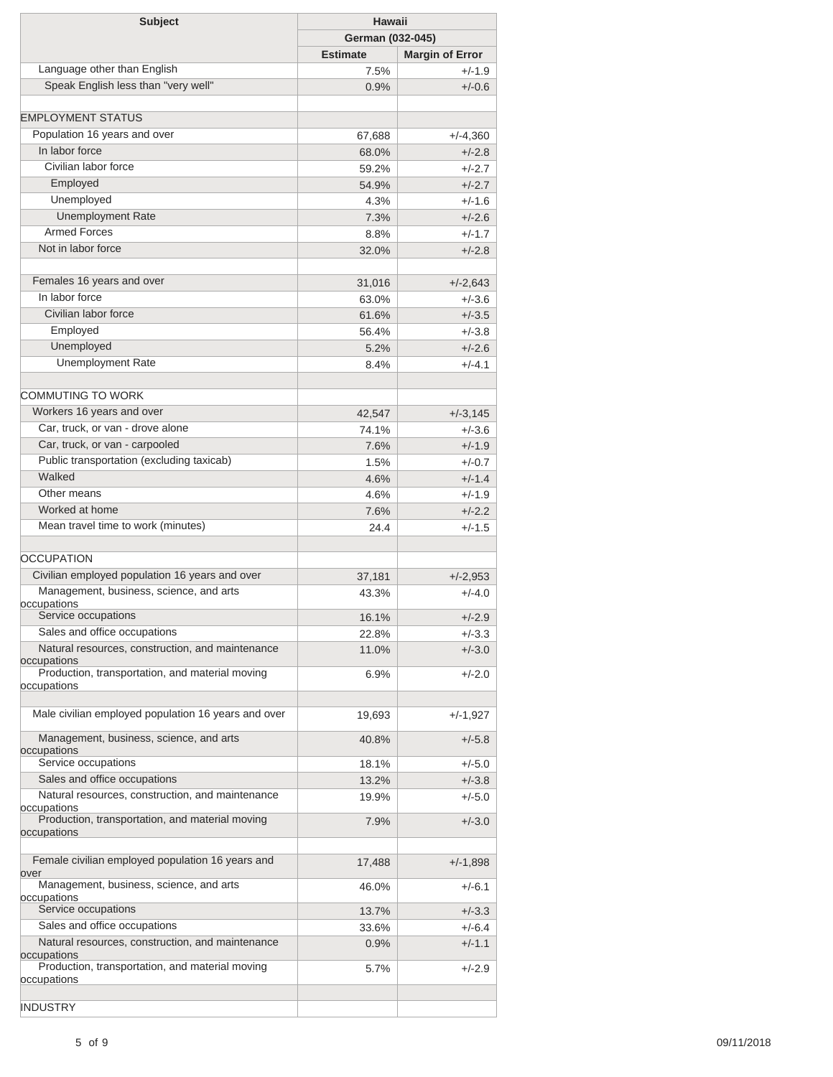| <b>Subject</b>                                                  | <b>Hawaii</b>   |                        |  |
|-----------------------------------------------------------------|-----------------|------------------------|--|
|                                                                 |                 | German (032-045)       |  |
|                                                                 | <b>Estimate</b> | <b>Margin of Error</b> |  |
| Language other than English                                     | 7.5%            | $+/-1.9$               |  |
| Speak English less than "very well"                             | 0.9%            | $+/-0.6$               |  |
| <b>EMPLOYMENT STATUS</b>                                        |                 |                        |  |
| Population 16 years and over                                    | 67,688          | $+/-4,360$             |  |
| In labor force                                                  | 68.0%           | $+/-2.8$               |  |
| Civilian labor force                                            | 59.2%           | $+/-2.7$               |  |
| Employed                                                        | 54.9%           | $+/-2.7$               |  |
| Unemployed                                                      | 4.3%            | $+/-1.6$               |  |
| <b>Unemployment Rate</b>                                        | 7.3%            | $+/-2.6$               |  |
| <b>Armed Forces</b>                                             | 8.8%            | $+/-1.7$               |  |
| Not in labor force                                              | 32.0%           | $+/-2.8$               |  |
| Females 16 years and over                                       |                 |                        |  |
| In labor force                                                  | 31,016          | $+/-2,643$             |  |
| Civilian labor force                                            | 63.0%           | $+/-3.6$               |  |
|                                                                 | 61.6%           | $+/-3.5$               |  |
| Employed                                                        | 56.4%           | $+/-3.8$               |  |
| Unemployed                                                      | 5.2%            | $+/-2.6$               |  |
| <b>Unemployment Rate</b>                                        | 8.4%            | $+/-4.1$               |  |
| COMMUTING TO WORK                                               |                 |                        |  |
| Workers 16 years and over                                       | 42,547          | $+/-3,145$             |  |
| Car, truck, or van - drove alone                                | 74.1%           | $+/-3.6$               |  |
| Car, truck, or van - carpooled                                  | 7.6%            | $+/-1.9$               |  |
| Public transportation (excluding taxicab)                       | 1.5%            | $+/-0.7$               |  |
| Walked                                                          | 4.6%            | $+/-1.4$               |  |
| Other means                                                     | 4.6%            | $+/-1.9$               |  |
| Worked at home                                                  | 7.6%            | $+/-2.2$               |  |
| Mean travel time to work (minutes)                              | 24.4            | $+/-1.5$               |  |
| <b>OCCUPATION</b>                                               |                 |                        |  |
| Civilian employed population 16 years and over                  |                 |                        |  |
| Management, business, science, and arts                         | 37,181          | $+/-2,953$             |  |
| occupations                                                     | 43.3%           | $+/-4.0$               |  |
| Service occupations                                             | 16.1%           | $+/-2.9$               |  |
| Sales and office occupations                                    | 22.8%           | +/-3.3                 |  |
| Natural resources, construction, and maintenance<br>occupations | 11.0%           | $+/-3.0$               |  |
| Production, transportation, and material moving                 | 6.9%            | $+/-2.0$               |  |
| occupations                                                     |                 |                        |  |
| Male civilian employed population 16 years and over             | 19,693          | $+/-1,927$             |  |
| Management, business, science, and arts                         | 40.8%           | $+/-5.8$               |  |
| occupations<br>Service occupations                              | 18.1%           | $+/-5.0$               |  |
| Sales and office occupations                                    | 13.2%           | $+/-3.8$               |  |
| Natural resources, construction, and maintenance                | 19.9%           | $+/-5.0$               |  |
| occupations<br>Production, transportation, and material moving  | 7.9%            | $+/-3.0$               |  |
| occupations                                                     |                 |                        |  |
| Female civilian employed population 16 years and                | 17,488          | $+/-1,898$             |  |
| over<br>Management, business, science, and arts                 | 46.0%           | $+/-6.1$               |  |
| occupations<br>Service occupations                              |                 | $+/-3.3$               |  |
| Sales and office occupations                                    | 13.7%           | $+/-6.4$               |  |
| Natural resources, construction, and maintenance                | 33.6%<br>0.9%   | $+/-1.1$               |  |
| occupations<br>Production, transportation, and material moving  | 5.7%            | $+/-2.9$               |  |
| occupations                                                     |                 |                        |  |
| <b>INDUSTRY</b>                                                 |                 |                        |  |
|                                                                 |                 |                        |  |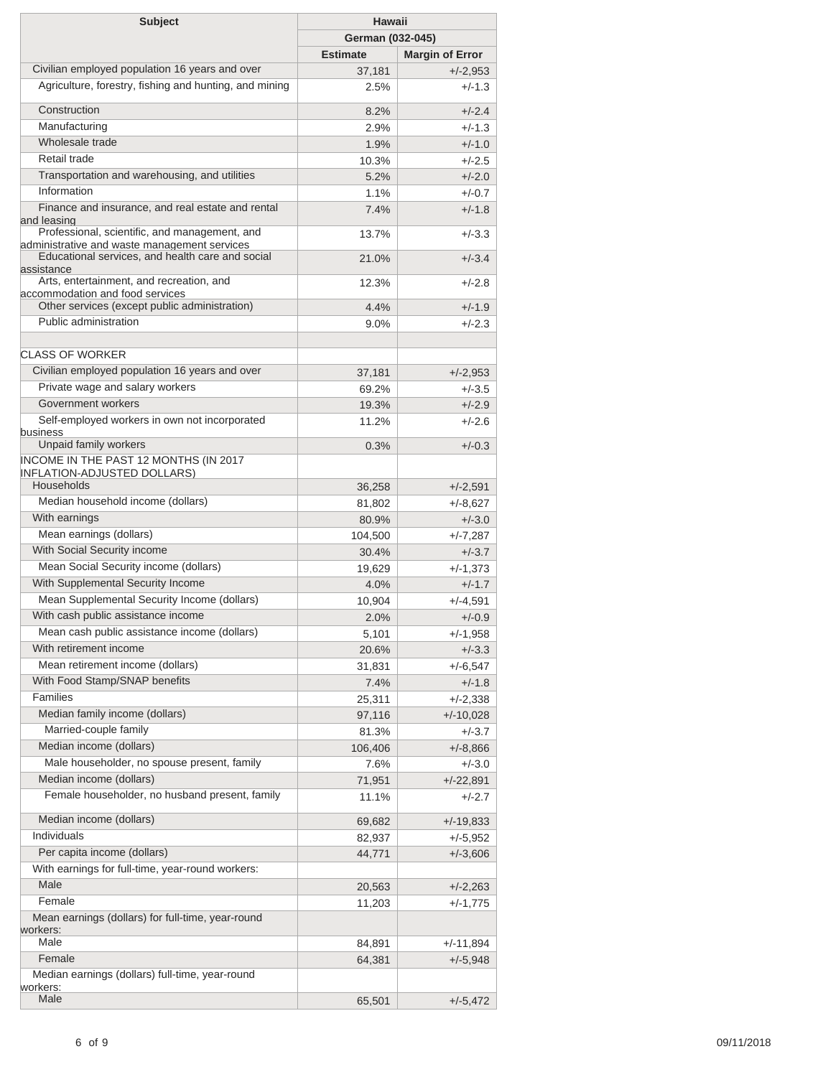| <b>Subject</b>                                                                                                                                    | Hawaii           |                        |
|---------------------------------------------------------------------------------------------------------------------------------------------------|------------------|------------------------|
|                                                                                                                                                   | German (032-045) |                        |
|                                                                                                                                                   | <b>Estimate</b>  | <b>Margin of Error</b> |
| Civilian employed population 16 years and over                                                                                                    | 37,181           | $+/-2,953$             |
| Agriculture, forestry, fishing and hunting, and mining                                                                                            | 2.5%             | $+/-1.3$               |
|                                                                                                                                                   |                  |                        |
| Construction                                                                                                                                      | 8.2%             | $+/-2.4$               |
| Manufacturing                                                                                                                                     | 2.9%             | $+/-1.3$               |
| Wholesale trade                                                                                                                                   | 1.9%             | $+/-1.0$               |
| Retail trade                                                                                                                                      | 10.3%            | $+/-2.5$               |
| Transportation and warehousing, and utilities                                                                                                     | 5.2%             | $+/-2.0$               |
| Information                                                                                                                                       | 1.1%             | $+/-0.7$               |
| Finance and insurance, and real estate and rental<br>and leasing                                                                                  | 7.4%             | $+/-1.8$               |
| Professional, scientific, and management, and<br>administrative and waste management services<br>Educational services, and health care and social | 13.7%            | $+/-3.3$               |
| assistance                                                                                                                                        | 21.0%            | $+/-3.4$               |
| Arts, entertainment, and recreation, and<br>accommodation and food services                                                                       | 12.3%            | $+/-2.8$               |
| Other services (except public administration)                                                                                                     | 4.4%             | $+/-1.9$               |
| Public administration                                                                                                                             | $9.0\%$          | $+/-2.3$               |
|                                                                                                                                                   |                  |                        |
| <b>CLASS OF WORKER</b>                                                                                                                            |                  |                        |
| Civilian employed population 16 years and over                                                                                                    | 37,181           | $+/-2,953$             |
| Private wage and salary workers                                                                                                                   | 69.2%            | $+/-3.5$               |
| Government workers                                                                                                                                | 19.3%            | $+/-2.9$               |
| Self-employed workers in own not incorporated                                                                                                     | 11.2%            | $+/-2.6$               |
| business<br>Unpaid family workers                                                                                                                 | 0.3%             | $+/-0.3$               |
| INCOME IN THE PAST 12 MONTHS (IN 2017                                                                                                             |                  |                        |
| <b>INFLATION-ADJUSTED DOLLARS)</b>                                                                                                                |                  |                        |
| Households                                                                                                                                        | 36,258           | $+/-2,591$             |
| Median household income (dollars)                                                                                                                 | 81,802           | $+/-8,627$             |
| With earnings                                                                                                                                     | 80.9%            | $+/-3.0$               |
| Mean earnings (dollars)                                                                                                                           | 104,500          | $+/-7,287$             |
| With Social Security income                                                                                                                       | 30.4%            | $+/-3.7$               |
| Mean Social Security income (dollars)                                                                                                             | 19,629           | $+/-1,373$             |
| With Supplemental Security Income                                                                                                                 | 4.0%             | $+/-1.7$               |
| Mean Supplemental Security Income (dollars)                                                                                                       | 10,904           | $+/-4,591$             |
| With cash public assistance income                                                                                                                | 2.0%             | $+/-0.9$               |
| Mean cash public assistance income (dollars)                                                                                                      | 5,101            | $+/-1,958$             |
| With retirement income                                                                                                                            | 20.6%            | $+/-3.3$               |
| Mean retirement income (dollars)                                                                                                                  | 31,831           | +/-6,547               |
| With Food Stamp/SNAP benefits                                                                                                                     | 7.4%             | $+/-1.8$               |
| Families                                                                                                                                          | 25,311           | $+/-2,338$             |
| Median family income (dollars)                                                                                                                    | 97,116           | $+/-10,028$            |
| Married-couple family                                                                                                                             | 81.3%            | $+/-3.7$               |
| Median income (dollars)                                                                                                                           | 106,406          | $+/-8,866$             |
| Male householder, no spouse present, family                                                                                                       | 7.6%             | $+/-3.0$               |
| Median income (dollars)                                                                                                                           |                  |                        |
| Female householder, no husband present, family                                                                                                    | 71,951           | $+/-22,891$            |
|                                                                                                                                                   | 11.1%            | $+/-2.7$               |
| Median income (dollars)                                                                                                                           | 69,682           | $+/-19,833$            |
| <b>Individuals</b>                                                                                                                                | 82,937           | $+/-5,952$             |
| Per capita income (dollars)                                                                                                                       | 44,771           | $+/-3,606$             |
| With earnings for full-time, year-round workers:                                                                                                  |                  |                        |
| Male                                                                                                                                              | 20,563           | $+/-2,263$             |
| Female                                                                                                                                            | 11,203           | $+/-1,775$             |
| Mean earnings (dollars) for full-time, year-round                                                                                                 |                  |                        |
| workers:                                                                                                                                          |                  |                        |
| Male                                                                                                                                              | 84,891           | +/-11,894              |
| Female                                                                                                                                            | 64,381           | $+/-5,948$             |
| Median earnings (dollars) full-time, year-round                                                                                                   |                  |                        |
| workers:<br>Male                                                                                                                                  |                  |                        |
|                                                                                                                                                   | 65,501           | $+/-5,472$             |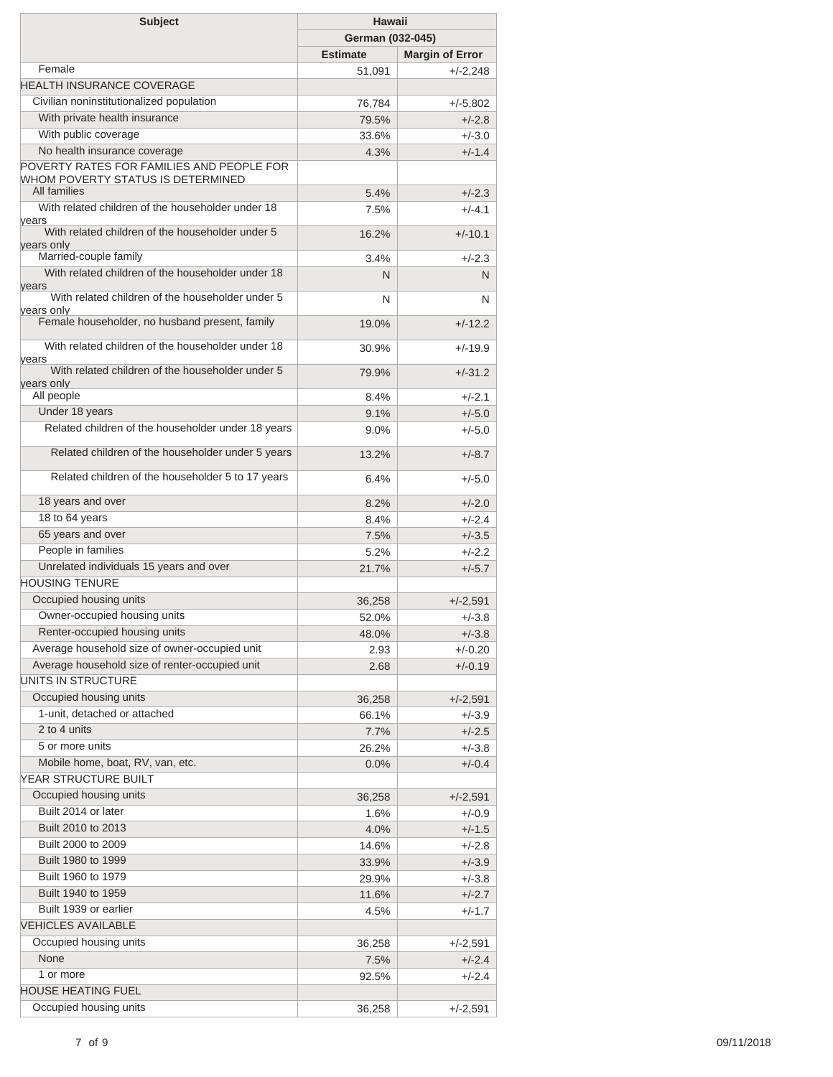| <b>Subject</b>                                                                 | <b>Hawaii</b>    |                        |
|--------------------------------------------------------------------------------|------------------|------------------------|
|                                                                                | German (032-045) |                        |
|                                                                                | <b>Estimate</b>  | <b>Margin of Error</b> |
| Female                                                                         | 51,091           | $+/-2,248$             |
| <b>HEALTH INSURANCE COVERAGE</b>                                               |                  |                        |
| Civilian noninstitutionalized population                                       | 76,784           | $+/-5,802$             |
| With private health insurance                                                  | 79.5%            | $+/-2.8$               |
| With public coverage                                                           | 33.6%            | $+/-3.0$               |
| No health insurance coverage                                                   | 4.3%             | $+/-1.4$               |
| POVERTY RATES FOR FAMILIES AND PEOPLE FOR<br>WHOM POVERTY STATUS IS DETERMINED |                  |                        |
| All families                                                                   | 5.4%             | $+/-2.3$               |
| With related children of the householder under 18<br>years                     | 7.5%             | $+/-4.1$               |
| With related children of the householder under 5<br>years only                 | 16.2%            | $+/-10.1$              |
| Married-couple family                                                          | 3.4%             | $+/-2.3$               |
| With related children of the householder under 18<br>years                     | N                | N                      |
| With related children of the householder under 5                               | N                | N                      |
| vears only<br>Female householder, no husband present, family                   | 19.0%            | $+/-12.2$              |
| With related children of the householder under 18<br>years                     | 30.9%            | $+/-19.9$              |
| With related children of the householder under 5<br>years only                 | 79.9%            | $+/-31.2$              |
| All people                                                                     | 8.4%             | $+/-2.1$               |
| Under 18 years                                                                 | 9.1%             | $+/-5.0$               |
| Related children of the householder under 18 years                             | $9.0\%$          | $+/-5.0$               |
| Related children of the householder under 5 years                              | 13.2%            | $+/-8.7$               |
| Related children of the householder 5 to 17 years                              | 6.4%             | $+/-5.0$               |
| 18 years and over                                                              | 8.2%             | $+/-2.0$               |
| 18 to 64 years                                                                 | 8.4%             | $+/-2.4$               |
| 65 years and over                                                              | 7.5%             | $+/-3.5$               |
| People in families                                                             | 5.2%             | $+/-2.2$               |
| Unrelated individuals 15 years and over                                        | 21.7%            | $+/-5.7$               |
| <b>HOUSING TENURE</b>                                                          |                  |                        |
| Occupied housing units                                                         | 36,258           | $+/-2,591$             |
| Owner-occupied housing units                                                   | 52.0%            | $+/-3.8$               |
| Renter-occupied housing units                                                  | 48.0%            | $+/-3.8$               |
| Average household size of owner-occupied unit                                  | 2.93             | $+/-0.20$              |
| Average household size of renter-occupied unit                                 | 2.68             | $+/-0.19$              |
| UNITS IN STRUCTURE                                                             |                  |                        |
| Occupied housing units                                                         | 36,258           | $+/-2,591$             |
| 1-unit, detached or attached                                                   | 66.1%            | $+/-3.9$               |
| 2 to 4 units                                                                   | 7.7%             | $+/-2.5$               |
| 5 or more units                                                                | 26.2%            | $+/-3.8$               |
| Mobile home, boat, RV, van, etc.                                               | 0.0%             | $+/-0.4$               |
| YEAR STRUCTURE BUILT                                                           |                  |                        |
| Occupied housing units                                                         | 36,258           | $+/-2,591$             |
| Built 2014 or later                                                            | 1.6%             | $+/-0.9$               |
| Built 2010 to 2013                                                             | 4.0%             | $+/-1.5$               |
| Built 2000 to 2009                                                             | 14.6%            | $+/-2.8$               |
| Built 1980 to 1999                                                             | 33.9%            | $+/-3.9$               |
| Built 1960 to 1979                                                             | 29.9%            | $+/-3.8$               |
| Built 1940 to 1959                                                             | 11.6%            | $+/-2.7$               |
| Built 1939 or earlier                                                          | 4.5%             | $+/-1.7$               |
| <b>VEHICLES AVAILABLE</b>                                                      |                  |                        |
| Occupied housing units                                                         |                  |                        |
| None                                                                           | 36,258           | $+/-2,591$             |
| 1 or more                                                                      | 7.5%             | $+/-2.4$               |
| <b>HOUSE HEATING FUEL</b>                                                      | 92.5%            | $+/-2.4$               |
| Occupied housing units                                                         | 36,258           | $+/-2,591$             |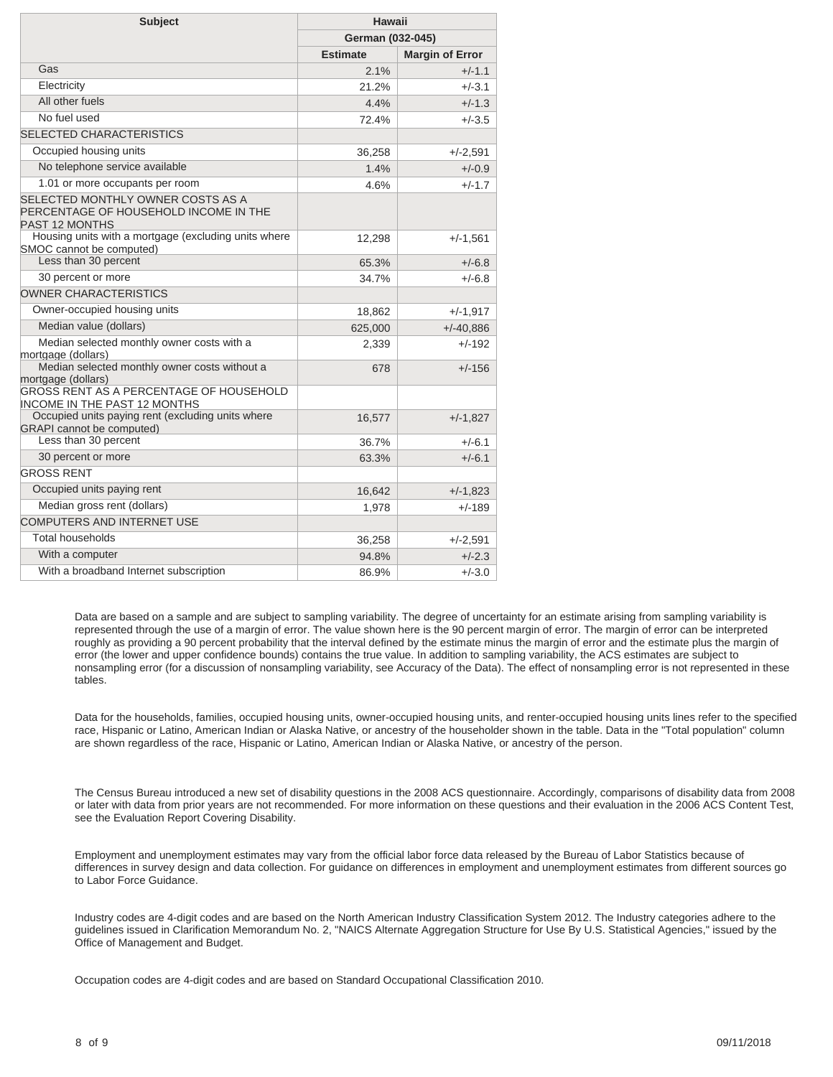| <b>Subject</b>                                                                                      | Hawaii           |                        |
|-----------------------------------------------------------------------------------------------------|------------------|------------------------|
|                                                                                                     | German (032-045) |                        |
|                                                                                                     | <b>Estimate</b>  | <b>Margin of Error</b> |
| Gas                                                                                                 | 2.1%             | $+/-1.1$               |
| Electricity                                                                                         | 21.2%            | $+/-3.1$               |
| All other fuels                                                                                     | 4.4%             | $+/-1.3$               |
| No fuel used                                                                                        | 72.4%            | $+/-3.5$               |
| <b>SELECTED CHARACTERISTICS</b>                                                                     |                  |                        |
| Occupied housing units                                                                              | 36,258           | $+/-2,591$             |
| No telephone service available                                                                      | 1.4%             | $+/-0.9$               |
| 1.01 or more occupants per room                                                                     | 4.6%             | $+/-1.7$               |
| SELECTED MONTHLY OWNER COSTS AS A<br>PERCENTAGE OF HOUSEHOLD INCOME IN THE<br><b>PAST 12 MONTHS</b> |                  |                        |
| Housing units with a mortgage (excluding units where<br>SMOC cannot be computed)                    | 12,298           | $+/-1,561$             |
| Less than 30 percent                                                                                | 65.3%            | $+/-6.8$               |
| 30 percent or more                                                                                  | 34.7%            | $+/-6.8$               |
| OWNER CHARACTERISTICS                                                                               |                  |                        |
| Owner-occupied housing units                                                                        | 18,862           | $+/-1,917$             |
| Median value (dollars)                                                                              | 625,000          | $+/-40.886$            |
| Median selected monthly owner costs with a<br>mortgage (dollars)                                    | 2,339            | $+/-192$               |
| Median selected monthly owner costs without a<br>mortgage (dollars)                                 | 678              | +/-156                 |
| GROSS RENT AS A PERCENTAGE OF HOUSEHOLD<br>INCOME IN THE PAST 12 MONTHS                             |                  |                        |
| Occupied units paying rent (excluding units where<br><b>GRAPI</b> cannot be computed)               | 16,577           | $+/-1,827$             |
| Less than 30 percent                                                                                | 36.7%            | $+/-6.1$               |
| 30 percent or more                                                                                  | 63.3%            | $+/-6.1$               |
| <b>GROSS RENT</b>                                                                                   |                  |                        |
| Occupied units paying rent                                                                          | 16,642           | $+/-1,823$             |
| Median gross rent (dollars)                                                                         | 1,978            | $+/-189$               |
| COMPUTERS AND INTERNET USE                                                                          |                  |                        |
| <b>Total households</b>                                                                             | 36,258           | $+/-2,591$             |
| With a computer                                                                                     | 94.8%            | $+/-2.3$               |
| With a broadband Internet subscription                                                              | 86.9%            | $+/-3.0$               |

Data are based on a sample and are subject to sampling variability. The degree of uncertainty for an estimate arising from sampling variability is represented through the use of a margin of error. The value shown here is the 90 percent margin of error. The margin of error can be interpreted roughly as providing a 90 percent probability that the interval defined by the estimate minus the margin of error and the estimate plus the margin of error (the lower and upper confidence bounds) contains the true value. In addition to sampling variability, the ACS estimates are subject to nonsampling error (for a discussion of nonsampling variability, see [Accuracy of the Data\)](https://www.census.gov/programs-surveys/acs/technical-documentation.html/). The effect of nonsampling error is not represented in these tables.

Data for the households, families, occupied housing units, owner-occupied housing units, and renter-occupied housing units lines refer to the specified race, Hispanic or Latino, American Indian or Alaska Native, or ancestry of the householder shown in the table. Data in the "Total population" column are shown regardless of the race, Hispanic or Latino, American Indian or Alaska Native, or ancestry of the person.

The Census Bureau introduced a new set of disability questions in the 2008 ACS questionnaire. Accordingly, comparisons of disability data from 2008 or later with data from prior years are not recommended. For more information on these questions and their evaluation in the 2006 ACS Content Test, see the [Evaluation Report Covering Disability.](https://www.census.gov/content/dam/Census/library/working-papers/2007/acs/2007_Brault_01.pdf)

Employment and unemployment estimates may vary from the official labor force data released by the Bureau of Labor Statistics because of differences in survey design and data collection. For guidance on differences in employment and unemployment estimates from different sources go to [Labor Force Guidance](https://www.census.gov/hhes/www/laborfor/laborguidance092209.html).

Industry codes are 4-digit codes and are based on the North American Industry Classification System 2012. The Industry categories adhere to the guidelines issued in Clarification Memorandum No. 2, "NAICS Alternate Aggregation Structure for Use By U.S. Statistical Agencies," issued by the Office of Management and Budget.

Occupation codes are 4-digit codes and are based on Standard Occupational Classification 2010.